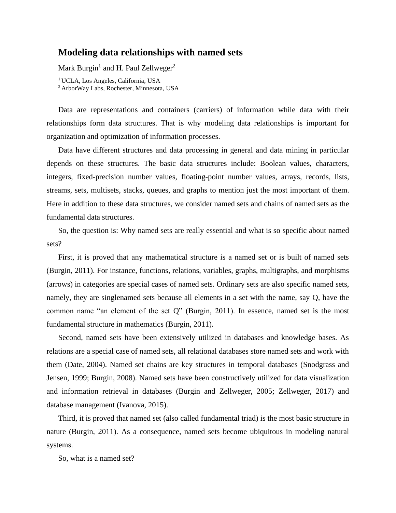## **Modeling data relationships with named sets**

Mark Burgin<sup>1</sup> and H. Paul Zellweger<sup>2</sup>

<sup>1</sup> UCLA, Los Angeles, California, USA <sup>2</sup>ArborWay Labs, Rochester, Minnesota, USA

Data are representations and containers (carriers) of information while data with their relationships form data structures. That is why modeling data relationships is important for organization and optimization of information processes.

Data have different structures and data processing in general and data mining in particular depends on these structures. The basic data structures include: Boolean values, characters, integers, fixed-precision number values, floating-point number values, arrays, records, lists, streams, sets, multisets, stacks, queues, and graphs to mention just the most important of them. Here in addition to these data structures, we consider named sets and chains of named sets as the fundamental data structures.

So, the question is: Why named sets are really essential and what is so specific about named sets?

First, it is proved that any mathematical structure is a named set or is built of named sets (Burgin, 2011). For instance, functions, relations, variables, graphs, multigraphs, and morphisms (arrows) in categories are special cases of named sets. Ordinary sets are also specific named sets, namely, they are singlenamed sets because all elements in a set with the name, say Q, have the common name "an element of the set Q" (Burgin, 2011). In essence, named set is the most fundamental structure in mathematics (Burgin, 2011).

Second, named sets have been extensively utilized in databases and knowledge bases. As relations are a special case of named sets, all relational databases store named sets and work with them (Date, 2004). Named set chains are key structures in temporal databases (Snodgrass and Jensen, 1999; Burgin, 2008). Named sets have been constructively utilized for data visualization and information retrieval in databases (Burgin and Zellweger, 2005; Zellweger, 2017) and database management (Ivanova, 2015).

Third, it is proved that named set (also called fundamental triad) is the most basic structure in nature (Burgin, 2011). As a consequence, named sets become ubiquitous in modeling natural systems.

So, what is a named set?